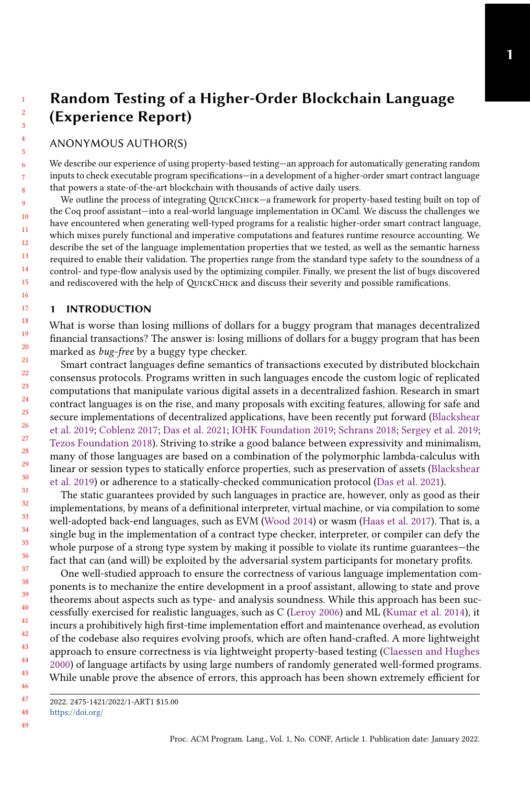# Random Testing of a Higher-Order Blockchain Language (Experience Report)

# ANONYMOUS AUTHOR(S)

We describe our experience of using property-based testing—an approach for automatically generating random inputs to check executable program specifications—in a development of a higher-order smart contract language that powers a state-of-the-art blockchain with thousands of active daily users.

We outline the process of integrating QUICKCHICK—a framework for property-based testing built on top of the Coq proof assistant—into a real-world language implementation in OCaml. We discuss the challenges we have encountered when generating well-typed programs for a realistic higher-order smart contract language, which mixes purely functional and imperative computations and features runtime resource accounting. We describe the set of the language implementation properties that we tested, as well as the semantic harness required to enable their validation. The properties range from the standard type safety to the soundness of a control- and type-flow analysis used by the optimizing compiler. Finally, we present the list of bugs discovered and rediscovered with the help of QUICKCHICK and discuss their severity and possible ramifications.

# 1 INTRODUCTION

What is worse than losing millions of dollars for a buggy program that manages decentralized financial transactions? The answer is: losing millions of dollars for a buggy program that has been marked as bug-free by a buggy type checker.

Smart contract languages define semantics of transactions executed by distributed blockchain consensus protocols. Programs written in such languages encode the custom logic of replicated computations that manipulate various digital assets in a decentralized fashion. Research in smart contract languages is on the rise, and many proposals with exciting features, allowing for safe and secure implementations of decentralized applications, have been recently put forward [\(Blackshear](#page-12-0) [et al.](#page-12-0) [2019;](#page-12-0) [Coblenz](#page-12-1) [2017;](#page-12-1) [Das et al.](#page-12-2) [2021;](#page-12-2) [IOHK Foundation](#page-12-3) [2019;](#page-12-3) [Schrans](#page-12-4) [2018;](#page-12-4) [Sergey et al.](#page-13-0) [2019;](#page-13-0) [Tezos Foundation](#page-13-1) [2018\)](#page-13-1). Striving to strike a good balance between expressivity and minimalism, many of those languages are based on a combination of the polymorphic lambda-calculus with linear or session types to statically enforce properties, such as preservation of assets [\(Blackshear](#page-12-0) [et al.](#page-12-0) [2019\)](#page-12-0) or adherence to a statically-checked communication protocol [\(Das et al.](#page-12-2) [2021\)](#page-12-2).

The static guarantees provided by such languages in practice are, however, only as good as their implementations, by means of a definitional interpreter, virtual machine, or via compilation to some well-adopted back-end languages, such as EVM [\(Wood](#page-13-2) [2014\)](#page-13-2) or wasm [\(Haas et al.](#page-12-5) [2017\)](#page-12-5). That is, a single bug in the implementation of a contract type checker, interpreter, or compiler can defy the whole purpose of a strong type system by making it possible to violate its runtime guarantees—the fact that can (and will) be exploited by the adversarial system participants for monetary profits.

One well-studied approach to ensure the correctness of various language implementation components is to mechanize the entire development in a proof assistant, allowing to state and prove theorems about aspects such as type- and analysis soundness. While this approach has been successfully exercised for realistic languages, such as C [\(Leroy](#page-12-6) [2006\)](#page-12-6) and ML [\(Kumar et al.](#page-12-7) [2014\)](#page-12-7), it incurs a prohibitively high first-time implementation effort and maintenance overhead, as evolution of the codebase also requires evolving proofs, which are often hand-crafted. A more lightweight approach to ensure correctness is via lightweight property-based testing [\(Claessen and Hughes](#page-12-8) [2000\)](#page-12-8) of language artifacts by using large numbers of randomly generated well-formed programs. While unable prove the absence of errors, this approach has been shown extremely efficient for

48 <https://doi.org/>

<sup>2022. 2475-1421/2022/1-</sup>ART1 \$15.00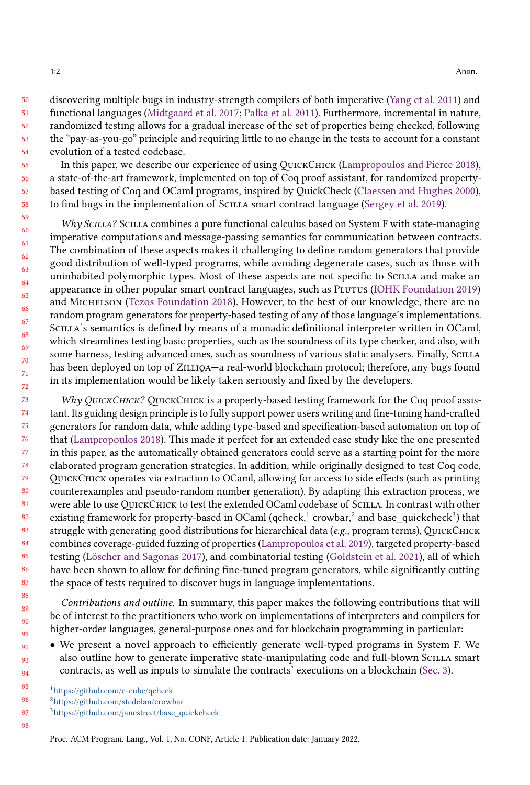50 51 52 53 54 discovering multiple bugs in industry-strength compilers of both imperative [\(Yang et al.](#page-13-3) [2011\)](#page-13-3) and functional languages [\(Midtgaard et al.](#page-12-9) [2017;](#page-12-9) [Pałka et al.](#page-12-10) [2011\)](#page-12-10). Furthermore, incremental in nature, randomized testing allows for a gradual increase of the set of properties being checked, following the "pay-as-you-go" principle and requiring little to no change in the tests to account for a constant evolution of a tested codebase.

In this paper, we describe our experience of using QuickChick [\(Lampropoulos and Pierce](#page-12-11) [2018\)](#page-12-11), a state-of-the-art framework, implemented on top of Coq proof assistant, for randomized propertybased testing of Coq and OCaml programs, inspired by QuickCheck [\(Claessen and Hughes](#page-12-8) [2000\)](#page-12-8), to find bugs in the implementation of Scilla smart contract language [\(Sergey et al.](#page-13-0) [2019\)](#page-13-0).

Why SCILLA? SCILLA combines a pure functional calculus based on System F with state-managing imperative computations and message-passing semantics for communication between contracts. The combination of these aspects makes it challenging to define random generators that provide good distribution of well-typed programs, while avoiding degenerate cases, such as those with uninhabited polymorphic types. Most of these aspects are not specific to Scilla and make an appearance in other popular smart contract languages, such as Plutus [\(IOHK Foundation](#page-12-3) [2019\)](#page-12-3) and Michelson [\(Tezos Foundation](#page-13-1) [2018\)](#page-13-1). However, to the best of our knowledge, there are no random program generators for property-based testing of any of those language's implementations. Scilla's semantics is defined by means of a monadic definitional interpreter written in OCaml, which streamlines testing basic properties, such as the soundness of its type checker, and also, with some harness, testing advanced ones, such as soundness of various static analysers. Finally, SCILLA has been deployed on top of ZILLIQA—a real-world blockchain protocol; therefore, any bugs found in its implementation would be likely taken seriously and fixed by the developers.

73 74 75 76 77 78 79  $80$ 81 82 83 84 85 86 87 Why QUICKCHICK? QUICKCHICK is a property-based testing framework for the Coq proof assistant. Its guiding design principle is to fully support power users writing and fine-tuning hand-crafted generators for random data, while adding type-based and specification-based automation on top of that [\(Lampropoulos](#page-12-12) [2018\)](#page-12-12). This made it perfect for an extended case study like the one presented in this paper, as the automatically obtained generators could serve as a starting point for the more elaborated program generation strategies. In addition, while originally designed to test Coq code, QuickChick operates via extraction to OCaml, allowing for access to side effects (such as printing counterexamples and pseudo-random number generation). By adapting this extraction process, we were able to use QuickChick to test the extended OCaml codebase of Scilla. In contrast with other existing framework for property-based in OCaml (qcheck, $^1$  $^1$  crowbar, $^2$  $^2$  and base\_quickcheck $^3$  $^3$ ) that struggle with generating good distributions for hierarchical data ( $e.g.,$  program terms), QUICKCHICK combines coverage-guided fuzzing of properties [\(Lampropoulos et al.](#page-12-13) [2019\)](#page-12-13), targeted property-based testing [\(Löscher and Sagonas](#page-12-14) [2017\)](#page-12-14), and combinatorial testing [\(Goldstein et al.](#page-12-15) [2021\)](#page-12-15), all of which have been shown to allow for defining fine-tuned program generators, while significantly cutting the space of tests required to discover bugs in language implementations.

Contributions and outline. In summary, this paper makes the following contributions that will be of interest to the practitioners who work on implementations of interpreters and compilers for higher-order languages, general-purpose ones and for blockchain programming in particular:

• We present a novel approach to efficiently generate well-typed programs in System F. We also outline how to generate imperative state-manipulating code and full-blown Scilla smart contracts, as well as inputs to simulate the contracts' executions on a blockchain [\(Sec. 3\)](#page-5-0).

<span id="page-1-0"></span><sup>95</sup> <sup>1</sup><https://github.com/c-cube/qcheck>

<span id="page-1-1"></span><sup>96</sup> <sup>2</sup><https://github.com/stedolan/crowbar>

<sup>97</sup> <sup>3</sup>[https://github.com/janestreet/base\\_quickcheck](https://github.com/janestreet/base_quickcheck)

<sup>98</sup>

<span id="page-1-2"></span>Proc. ACM Program. Lang., Vol. 1, No. CONF, Article 1. Publication date: January 2022.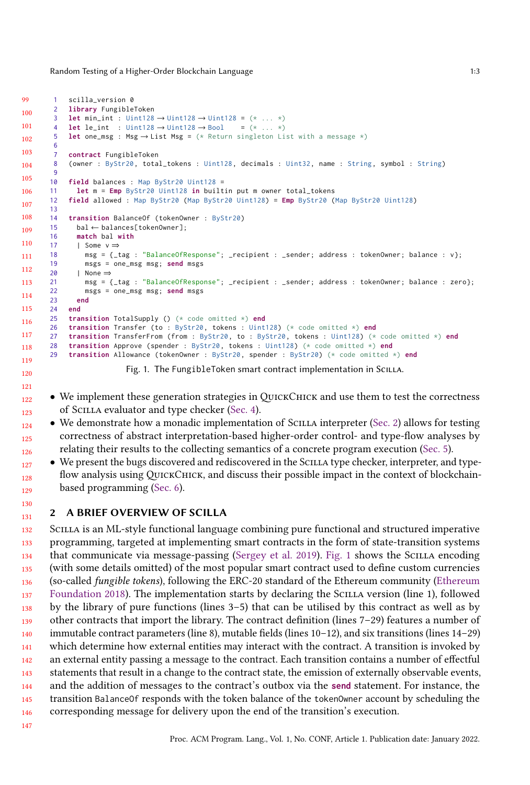<span id="page-2-1"></span>Random Testing of a Higher-Order Blockchain Language 1:3

```
99
100
101
102
103
104
105
106
107
108
109
110
111
112
113
114
115
116
117
118
119
       1 scilla_version 0
       2 library FungibleToken
       3 let min_int : Uint128 → Uint128 → Uint128 = (* ... *)
       4 let le_int : Uint128 → Uint128 → Bool = (* ... *)
       5 let one_msg : Msg → List Msg = (* Return singleton List with a message *)
       6
       7 contract FungibleToken
       8 (owner : ByStr20, total_tokens : Uint128, decimals : Uint32, name : String, symbol : String)
       \overline{q}10 field balances : Map ByStr20 Uint128 =
      11 let m = Emp ByStr20 Uint128 in builtin put m owner total_tokens
      12 field allowed : Map ByStr20 (Map ByStr20 Uint128) = Emp ByStr20 (Map ByStr20 Uint128)
      13
      14 transition BalanceOf (tokenOwner : ByStr20)
      15 bal ← balances[tokenOwner];
      16 match bal with
      17 | Some v \Rightarrow18 msg = {_tag : "BalanceOfResponse"; _recipient : _sender; address : tokenOwner; balance : v};
      19 msgs = one_msg msg; send msgs
      20 | None ⇒
      21 msg = {_tag : "BalanceOfResponse"; _recipient : _sender; address : tokenOwner; balance : zero};
      22 msgs = one_msg msg; send msgs
      23 end
           24 end
      25 transition TotalSupply () (* code omitted *) end
      26 transition Transfer (to : ByStr20, tokens : Uint128) (* code omitted *) end
      27 transition TransferFrom (from : ByStr20, to : ByStr20, tokens : Uint128) (* code omitted *) end
      28 transition Approve (spender : ByStr20, tokens : Uint128) (* code omitted *) end
      29 transition Allowance (tokenOwner : ByStr20, spender : ByStr20) (* code omitted *) end
```
Fig. 1. The FungibleToken smart contract implementation in SCILLA.

- We implement these generation strategies in QUICKCHICK and use them to test the correctness of Scilla evaluator and type checker [\(Sec. 4\)](#page-7-0).
- • We demonstrate how a monadic implementation of Scilla interpreter [\(Sec. 2\)](#page-2-0) allows for testing correctness of abstract interpretation-based higher-order control- and type-flow analyses by relating their results to the collecting semantics of a concrete program execution [\(Sec. 5\)](#page-8-0).
	- We present the bugs discovered and rediscovered in the Scilla type checker, interpreter, and typeflow analysis using QUICKCHICK, and discuss their possible impact in the context of blockchainbased programming [\(Sec. 6\)](#page-9-0).

### <span id="page-2-0"></span>2 A BRIEF OVERVIEW OF SCILLA

 Scilla is an ML-style functional language combining pure functional and structured imperative programming, targeted at implementing smart contracts in the form of state-transition systems that communicate via message-passing [\(Sergey et al.](#page-13-0) [2019\)](#page-13-0). [Fig. 1](#page-2-1) shows the Scilla encoding (with some details omitted) of the most popular smart contract used to define custom currencies (so-called fungible tokens), following the ERC-20 standard of the Ethereum community [\(Ethereum](#page-12-16) [Foundation](#page-12-16) [2018\)](#page-12-16). The implementation starts by declaring the Scilla version (line 1), followed by the library of pure functions (lines 3–5) that can be utilised by this contract as well as by other contracts that import the library. The contract definition (lines 7–29) features a number of immutable contract parameters (line 8), mutable fields (lines 10–12), and six transitions (lines 14–29) which determine how external entities may interact with the contract. A transition is invoked by an external entity passing a message to the contract. Each transition contains a number of effectful statements that result in a change to the contract state, the emission of externally observable events, and the addition of messages to the contract's outbox via the **send** statement. For instance, the transition BalanceOf responds with the token balance of the tokenOwner account by scheduling the corresponding message for delivery upon the end of the transition's execution.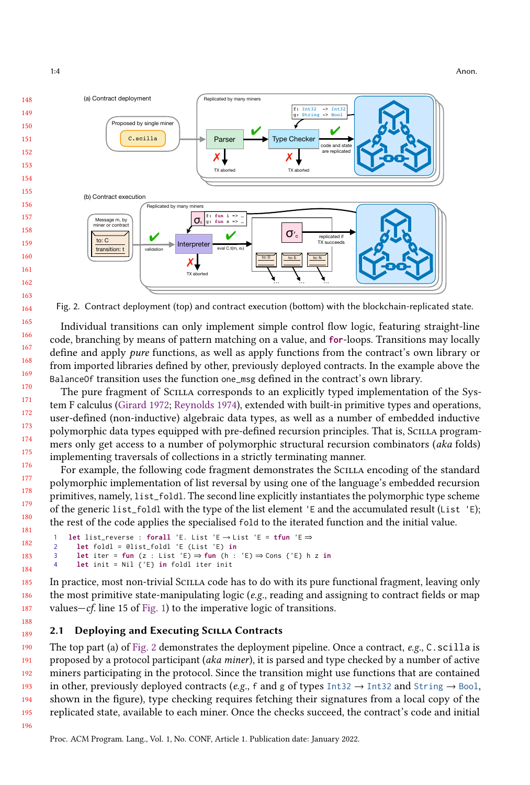1:4 Anon.

<span id="page-3-0"></span>

Fig. 2. Contract deployment (top) and contract execution (bottom) with the blockchain-replicated state.

Individual transitions can only implement simple control flow logic, featuring straight-line code, branching by means of pattern matching on a value, and **for**-loops. Transitions may locally define and apply pure functions, as well as apply functions from the contract's own library or from imported libraries defined by other, previously deployed contracts. In the example above the BalanceOf transition uses the function one\_msg defined in the contract's own library.

The pure fragment of Scilla corresponds to an explicitly typed implementation of the System F calculus [\(Girard](#page-12-17) [1972;](#page-12-17) [Reynolds](#page-12-18) [1974\)](#page-12-18), extended with built-in primitive types and operations, user-defined (non-inductive) algebraic data types, as well as a number of embedded inductive polymorphic data types equipped with pre-defined recursion principles. That is, Scilla programmers only get access to a number of polymorphic structural recursion combinators (aka folds) implementing traversals of collections in a strictly terminating manner.

For example, the following code fragment demonstrates the Scilla encoding of the standard polymorphic implementation of list reversal by using one of the language's embedded recursion primitives, namely, list\_foldl. The second line explicitly instantiates the polymorphic type scheme of the generic list\_foldl with the type of the list element 'E and the accumulated result (List 'E); the rest of the code applies the specialised fold to the iterated function and the initial value.

```
1 let list_reverse : forall 'E. List 'E → List 'E = tfun 'E ⇒
2 let foldl = @list_foldl 'E (List 'E) in
3 let iter = fun (z : List 'E) ⇒ fun (h : 'E) ⇒ Cons {'E} h z in
4 let init = Nil {'E} in foldl iter init
```
185 186 In practice, most non-trivial Scilla code has to do with its pure functional fragment, leaving only the most primitive state-manipulating logic ( $e.g.,$  reading and assigning to contract fields or map values—*cf.* line 15 of [Fig. 1\)](#page-2-1) to the imperative logic of transitions.

### <span id="page-3-1"></span>2.1 Deploying and Executing Scilla Contracts

190 191 192 193 194 195 The top part (a) of [Fig. 2](#page-3-0) demonstrates the deployment pipeline. Once a contract,  $e.g., C.$  scilla is proposed by a protocol participant (aka miner), it is parsed and type checked by a number of active miners participating in the protocol. Since the transition might use functions that are contained in other, previously deployed contracts (e.g., f and g of types  $Int32 \rightarrow Int32$  and  $String \rightarrow Bool$ , shown in the figure), type checking requires fetching their signatures from a local copy of the replicated state, available to each miner. Once the checks succeed, the contract's code and initial

196

187 188 189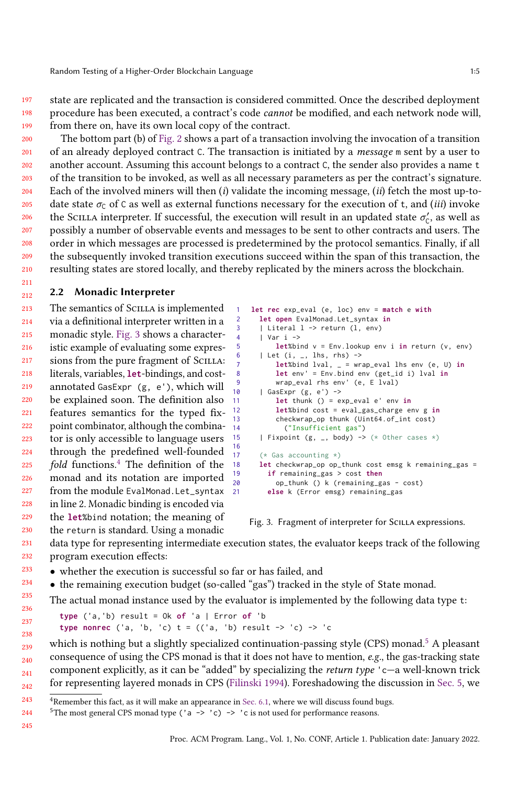Random Testing of a Higher-Order Blockchain Language 1:5

state are replicated and the transaction is considered committed. Once the described deployment procedure has been executed, a contract's code cannot be modified, and each network node will,

199 from there on, have its own local copy of the contract.

200 201 202 203 204 205 206 207 208 209 210 The bottom part (b) of [Fig. 2](#page-3-0) shows a part of a transaction involving the invocation of a transition of an already deployed contract C. The transaction is initiated by a message m sent by a user to another account. Assuming this account belongs to a contract C, the sender also provides a name t of the transition to be invoked, as well as all necessary parameters as per the contract's signature. Each of the involved miners will then  $(i)$  validate the incoming message,  $(ii)$  fetch the most up-todate state  $\sigma_C$  of C as well as external functions necessary for the execution of t, and *(iii)* invoke the SCILLA interpreter. If successful, the execution will result in an updated state  $\sigma'_{\mathcal{C}}$ , as well as possibly a number of observable events and messages to be sent to other contracts and users. The order in which messages are processed is predetermined by the protocol semantics. Finally, if all the subsequently invoked transition executions succeed within the span of this transaction, the resulting states are stored locally, and thereby replicated by the miners across the blockchain.

#### <span id="page-4-3"></span>212 2.2 Monadic Interpreter

197 198

211

213 214 215 216 217 218 219 220 221 222 223 224 225 226 227 228 229 16 The semantics of SCILLA is implemented via a definitional interpreter written in a monadic style. [Fig. 3](#page-4-0) shows a characteristic example of evaluating some expressions from the pure fragment of SCILLA: literals, variables, **let**-bindings, and costannotated GasExpr (g, e'), which will be explained soon. The definition also features semantics for the typed fixpoint combinator, although the combinator is only accessible to language users through the predefined well-founded  $fold$  functions.<sup>[4](#page-4-1)</sup> The definition of the monad and its notation are imported from the module EvalMonad.Let\_syntax in line 2. Monadic binding is encoded via the **let**%bind notation; the meaning of

the return is standard. Using a monadic

```
1 let rec exp_eval (e, loc) env = match e with
 2 let open EvalMonad.Let_syntax in
      | Literal 1 -> return (1, env)
 4 | Var i -><br>5 let%bi
          5 let%bind v = Env.lookup env i in return (v, env)
 6 | Let (i, 1, 1) | Let (i, -1, 1)7 let%bind lval, _ = wrap_eval lhs env (e, U) in
 8 let env' = Env.bind env (get_id i) lval in
9 wrap_eval rhs env' (e, E lval)
10 | GasExpr (g, e') \rightarrow<br>11 1et thunk (f) = e^{i}let thunk () = exp_eval e' env in12 let%bind cost = eval_gas_charge env g in
13 checkwrap_op thunk (Uint64.of_int cost)
14 ("Insufficient gas")
15 | Fixpoint (g, _{-}, body) -> (* Other cases *)
17 (* Gas accounting *)
18 let checkwrap_op op_thunk cost emsg k remaining_gas =
19 if remaining_gas > cost then
20 op_thunk () k (remaining_gas - cost)<br>21 else k (Error emsg) remaining_gas
         21 else k (Error emsg) remaining_gas
```
Fig. 3. Fragment of interpreter for SCILLA expressions.

231 232 data type for representing intermediate execution states, the evaluator keeps track of the following program execution effects:

- 233 • whether the execution is successful so far or has failed, and
- 234 • the remaining execution budget (so-called "gas") tracked in the style of State monad.

236 The actual monad instance used by the evaluator is implemented by the following data type t:

**type** ('a,'b) result = Ok **of** 'a | Error **of** 'b **type nonrec** ('a, 'b, 'c)  $t = (('a, 'b) result -> 'c) -> 'c)$ 

239 240 241 242 which is nothing but a slightly specialized continuation-passing style  $(CPS)$  monad.<sup>[5](#page-4-2)</sup> A pleasant consequence of using the CPS monad is that it does not have to mention, e.g., the gas-tracking state component explicitly, as it can be "added" by specializing the return type 'c—a well-known trick for representing layered monads in CPS [\(Filinski](#page-12-19) [1994\)](#page-12-19). Foreshadowing the discussion in [Sec. 5,](#page-8-0) we

245

230

235

<span id="page-4-1"></span><sup>243</sup>  $4R$ emember this fact, as it will make an appearance in [Sec. 6.1,](#page-9-1) where we will discuss found bugs.

<span id="page-4-2"></span><sup>244</sup> <sup>5</sup>The most general CPS monad type ('a -> 'c) -> 'c is not used for performance reasons.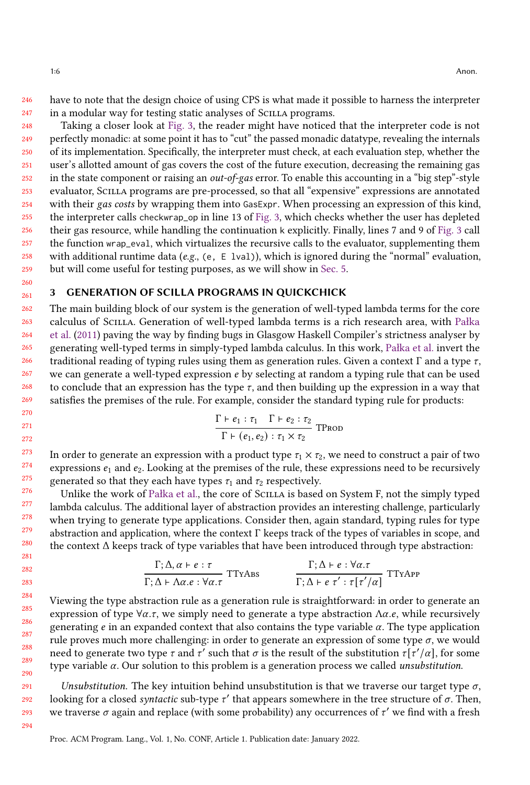246 247 have to note that the design choice of using CPS is what made it possible to harness the interpreter in a modular way for testing static analyses of Scilla programs.

248 249 250 251 252 253 254 255 256 257 258 259 Taking a closer look at [Fig. 3,](#page-4-0) the reader might have noticed that the interpreter code is not perfectly monadic: at some point it has to "cut" the passed monadic datatype, revealing the internals of its implementation. Specifically, the interpreter must check, at each evaluation step, whether the user's allotted amount of gas covers the cost of the future execution, decreasing the remaining gas in the state component or raising an out-of-gas error. To enable this accounting in a "big step"-style evaluator, Scilla programs are pre-processed, so that all "expensive" expressions are annotated with their gas costs by wrapping them into GasExpr. When processing an expression of this kind, the interpreter calls checkwrap\_op in line 13 of [Fig. 3,](#page-4-0) which checks whether the user has depleted their gas resource, while handling the continuation k explicitly. Finally, lines 7 and 9 of [Fig. 3](#page-4-0) call the function wrap\_eval, which virtualizes the recursive calls to the evaluator, supplementing them with additional runtime data (e.g., (e, E lval)), which is ignored during the "normal" evaluation, but will come useful for testing purposes, as we will show in [Sec. 5.](#page-8-0)

### <span id="page-5-0"></span>3 GENERATION OF SCILLA PROGRAMS IN QUICKCHICK

262 263 264 265 266 268 269 The main building block of our system is the generation of well-typed lambda terms for the core calculus of Scilla. Generation of well-typed lambda terms is a rich research area, with [Pałka](#page-12-10) [et al.](#page-12-10) [\(2011\)](#page-12-10) paving the way by finding bugs in Glasgow Haskell Compiler's strictness analyser by generating well-typed terms in simply-typed lambda calculus. In this work, [Pałka et al.](#page-12-10) invert the traditional reading of typing rules using them as generation rules. Given a context Γ and a type  $τ$ , we can generate a well-typed expression  $e$  by selecting at random a typing rule that can be used to conclude that an expression has the type  $\tau$ , and then building up the expression in a way that satisfies the premises of the rule. For example, consider the standard typing rule for products:

$$
\frac{\Gamma \vdash e_1 : \tau_1 \quad \Gamma \vdash e_2 : \tau_2}{\Gamma \vdash (e_1, e_2) : \tau_1 \times \tau_2}
$$
TPROD

In order to generate an expression with a product type  $\tau_1 \times \tau_2$ , we need to construct a pair of two expressions  $e_1$  and  $e_2$ . Looking at the premises of the rule, these expressions need to be recursively generated so that they each have types  $\tau_1$  and  $\tau_2$  respectively.

Unlike the work of [Pałka et al.,](#page-12-10) the core of Scilla is based on System F, not the simply typed lambda calculus. The additional layer of abstraction provides an interesting challenge, particularly when trying to generate type applications. Consider then, again standard, typing rules for type abstraction and application, where the context Γ keeps track of the types of variables in scope, and the context  $\Delta$  keeps track of type variables that have been introduced through type abstraction:

$$
\frac{\Gamma; \Delta, \alpha \vdash e : \tau}{\Gamma; \Delta \vdash \Delta \alpha. e : \forall \alpha. \tau} \text{TTrAbs} \qquad \qquad \frac{\Gamma; \Delta \vdash e : \forall \alpha. \tau}{\Gamma; \Delta \vdash e \tau' : \tau[\tau'/\alpha]} \text{TTrApp}
$$

Viewing the type abstraction rule as a generation rule is straightforward: in order to generate an expression of type  $\forall \alpha, \tau$ , we simply need to generate a type abstraction  $\Lambda \alpha, e$ , while recursively generating  $e$  in an expanded context that also contains the type variable  $\alpha$ . The type application rule proves much more challenging: in order to generate an expression of some type  $\sigma$ , we would need to generate two type  $\tau$  and  $\tau'$  such that  $\sigma$  is the result of the substitution  $\tau[\tau'/\alpha],$  for some type variable  $\alpha$ . Our solution to this problem is a generation process we called *unsubstitution*.

Unsubstitution. The key intuition behind unsubstitution is that we traverse our target type  $\sigma$ , looking for a closed syntactic sub-type  $\tau'$  that appears somewhere in the tree structure of  $\sigma$ . Then, we traverse  $\sigma$  again and replace (with some probability) any occurrences of  $\tau'$  we find with a fresh

Proc. ACM Program. Lang., Vol. 1, No. CONF, Article 1. Publication date: January 2022.

260 261

267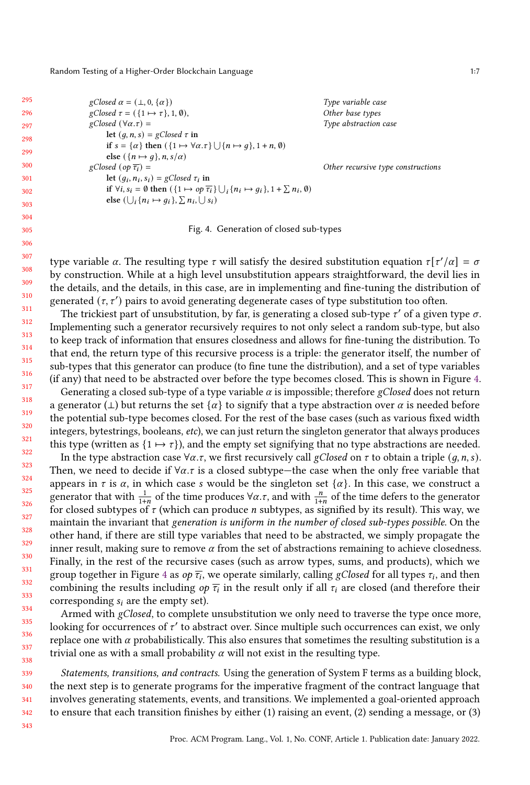<span id="page-6-0"></span>Random Testing of a Higher-Order Blockchain Language 1:7 and 1:7 and 1:7 and 1:7 and 1:7 and 1:7 and 1:7 and 1:7

| 295 | $gClosed \alpha = (\perp, 0, {\alpha})$                                                                                                       | Type variable case                 |
|-----|-----------------------------------------------------------------------------------------------------------------------------------------------|------------------------------------|
| 296 | gClosed $\tau = (\{1 \mapsto \tau\}, 1, \emptyset)$ ,                                                                                         | Other base types                   |
| 297 | $gClosed (\forall \alpha.\tau) =$                                                                                                             | Type abstraction case              |
| 298 | let $(q, n, s) = gClosed \tau$ in                                                                                                             |                                    |
| 299 | if $s = {\alpha}$ then $({1 \mapsto \forall \alpha.\tau} \cup {n \mapsto g}, 1 + n, \emptyset)$                                               |                                    |
| 300 | else $({n \mapsto q}, n, s/\alpha)$<br>gClosed (op $\overline{\tau_i}$ ) =                                                                    |                                    |
| 301 | let $(q_i, n_i, s_i)$ = gClosed $\tau_i$ in                                                                                                   | Other recursive type constructions |
| 302 | if $\forall i, s_i = \emptyset$ then $(\{1 \mapsto op \overline{\tau_i}\} \cup_i \{n_i \mapsto g_i\}, 1 + \sum n_i, \emptyset)$               |                                    |
| 303 | else $(\bigcup_i \{n_i \mapsto g_i\}, \sum n_i, \bigcup s_i)$                                                                                 |                                    |
| 304 |                                                                                                                                               |                                    |
| 305 | Fig. 4. Generation of closed sub-types                                                                                                        |                                    |
| 306 |                                                                                                                                               |                                    |
| 307 |                                                                                                                                               |                                    |
| 308 | type variable $\alpha$ . The resulting type $\tau$ will satisfy the desired substitution equation $\tau[\tau'/\alpha] = \sigma$               |                                    |
| 309 | by construction. While at a high level unsubstitution appears straightforward, the devil lies in                                              |                                    |
| 310 | the details, and the details, in this case, are in implementing and fine-tuning the distribution of                                           |                                    |
| 311 | generated $(\tau, \tau')$ pairs to avoid generating degenerate cases of type substitution too often.                                          |                                    |
| 312 | The trickiest part of unsubstitution, by far, is generating a closed sub-type $\tau'$ of a given type $\sigma$ .                              |                                    |
| 313 | Implementing such a generator recursively requires to not only select a random sub-type, but also                                             |                                    |
| 314 | to keep track of information that ensures closedness and allows for fine-tuning the distribution. To                                          |                                    |
| 315 | that end, the return type of this recursive process is a triple: the generator itself, the number of                                          |                                    |
| 316 | sub-types that this generator can produce (to fine tune the distribution), and a set of type variables                                        |                                    |
| 317 | (if any) that need to be abstracted over before the type becomes closed. This is shown in Figure 4.                                           |                                    |
| 318 | Generating a closed sub-type of a type variable $\alpha$ is impossible; therefore gClosed does not return                                     |                                    |
| 319 | a generator ( $\perp$ ) but returns the set $\{\alpha\}$ to signify that a type abstraction over $\alpha$ is needed before                    |                                    |
| 320 | the potential sub-type becomes closed. For the rest of the base cases (such as various fixed width                                            |                                    |
| 321 | integers, bytestrings, booleans, etc), we can just return the singleton generator that always produces                                        |                                    |
|     | this type (written as $\{1 \mapsto \tau\}$ ), and the empty set signifying that no type abstractions are needed.                              |                                    |
| 322 | In the type abstraction case $\forall \alpha.\tau$ , we first recursively call <i>gClosed</i> on $\tau$ to obtain a triple $(q, n, s)$ .      |                                    |
| 323 | Then, we need to decide if $\forall \alpha$ . T is a closed subtype-the case when the only free variable that                                 |                                    |
| 324 | appears in $\tau$ is $\alpha$ , in which case s would be the singleton set $\{\alpha\}$ . In this case, we construct a                        |                                    |
| 325 | generator that with $\frac{1}{1+n}$ of the time produces $\forall \alpha.\tau$ , and with $\frac{n}{1+n}$ of the time defers to the generator |                                    |
| 326 | for closed subtypes of $\tau$ (which can produce <i>n</i> subtypes, as signified by its result). This way, we                                 |                                    |
| 327 | maintain the invariant that generation is uniform in the number of closed sub-types possible. On the                                          |                                    |
| 328 | other hand, if there are still type variables that need to be abstracted, we simply propagate the                                             |                                    |
| 329 | inner result, making sure to remove $\alpha$ from the set of abstractions remaining to achieve closedness.                                    |                                    |
| 330 | Finally, in the rest of the recursive cases (such as arrow types, sums, and products), which we                                               |                                    |
| 331 |                                                                                                                                               |                                    |

Finally, in the rest of the recursive cases (such as arrow types, sums, and products), which we group together in Figure [4](#page-6-0) as op  $\overline{\tau_i}$ , we operate similarly, calling gClosed for all types  $\tau_i$ , and then combining the results including op  $\overline{\tau_i}$  in the result only if all  $\tau_i$  are closed (and therefore their corresponding  $s_i$  are the empty set).

Armed with *gClosed*, to complete unsubstitution we only need to traverse the type once more, looking for occurrences of  $\tau'$  to abstract over. Since multiple such occurrences can exist, we only replace one with  $\alpha$  probabilistically. This also ensures that sometimes the resulting substitution is a trivial one as with a small probability  $\alpha$  will not exist in the resulting type.

Statements, transitions, and contracts. Using the generation of System F terms as a building block, the next step is to generate programs for the imperative fragment of the contract language that involves generating statements, events, and transitions. We implemented a goal-oriented approach to ensure that each transition finishes by either (1) raising an event, (2) sending a message, or (3)

342 343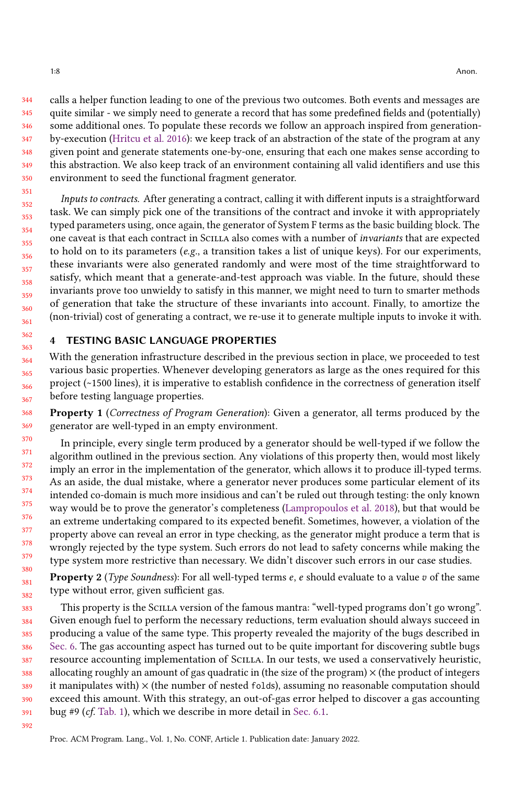344 345 346 347 348 349 350 calls a helper function leading to one of the previous two outcomes. Both events and messages are quite similar - we simply need to generate a record that has some predefined fields and (potentially) some additional ones. To populate these records we follow an approach inspired from generationby-execution [\(Hritcu et al.](#page-12-20) [2016\)](#page-12-20): we keep track of an abstraction of the state of the program at any given point and generate statements one-by-one, ensuring that each one makes sense according to this abstraction. We also keep track of an environment containing all valid identifiers and use this environment to seed the functional fragment generator.

352 353 354 355 356 357 358 359 360 361 Inputs to contracts. After generating a contract, calling it with different inputs is a straightforward task. We can simply pick one of the transitions of the contract and invoke it with appropriately typed parameters using, once again, the generator of System F terms as the basic building block. The one caveat is that each contract in Scilla also comes with a number of invariants that are expected to hold on to its parameters  $(e.g., a$  transition takes a list of unique keys). For our experiments, these invariants were also generated randomly and were most of the time straightforward to satisfy, which meant that a generate-and-test approach was viable. In the future, should these invariants prove too unwieldy to satisfy in this manner, we might need to turn to smarter methods of generation that take the structure of these invariants into account. Finally, to amortize the (non-trivial) cost of generating a contract, we re-use it to generate multiple inputs to invoke it with.

### <span id="page-7-0"></span>4 TESTING BASIC LANGUAGE PROPERTIES

With the generation infrastructure described in the previous section in place, we proceeded to test various basic properties. Whenever developing generators as large as the ones required for this project (~1500 lines), it is imperative to establish confidence in the correctness of generation itself before testing language properties.

368 369 Property 1 (Correctness of Program Generation): Given a generator, all terms produced by the generator are well-typed in an empty environment.

370 371 372 373 374 375 376 377 378 379 380 In principle, every single term produced by a generator should be well-typed if we follow the algorithm outlined in the previous section. Any violations of this property then, would most likely imply an error in the implementation of the generator, which allows it to produce ill-typed terms. As an aside, the dual mistake, where a generator never produces some particular element of its intended co-domain is much more insidious and can't be ruled out through testing: the only known way would be to prove the generator's completeness [\(Lampropoulos et al.](#page-12-21) [2018\)](#page-12-21), but that would be an extreme undertaking compared to its expected benefit. Sometimes, however, a violation of the property above can reveal an error in type checking, as the generator might produce a term that is wrongly rejected by the type system. Such errors do not lead to safety concerns while making the type system more restrictive than necessary. We didn't discover such errors in our case studies.

381 382 **Property 2** (Type Soundness): For all well-typed terms  $e$ ,  $e$  should evaluate to a value  $v$  of the same type without error, given sufficient gas.

383 384 385 386 387 388 389 390 391 This property is the Scilla version of the famous mantra: "well-typed programs don't go wrong". Given enough fuel to perform the necessary reductions, term evaluation should always succeed in producing a value of the same type. This property revealed the majority of the bugs described in [Sec. 6.](#page-9-0) The gas accounting aspect has turned out to be quite important for discovering subtle bugs resource accounting implementation of Scilla. In our tests, we used a conservatively heuristic, allocating roughly an amount of gas quadratic in (the size of the program)  $\times$  (the product of integers it manipulates with)  $\times$  (the number of nested folds), assuming no reasonable computation should exceed this amount. With this strategy, an out-of-gas error helped to discover a gas accounting bug #9 (cf. [Tab. 1\)](#page-10-0), which we describe in more detail in [Sec. 6.1.](#page-9-1)

351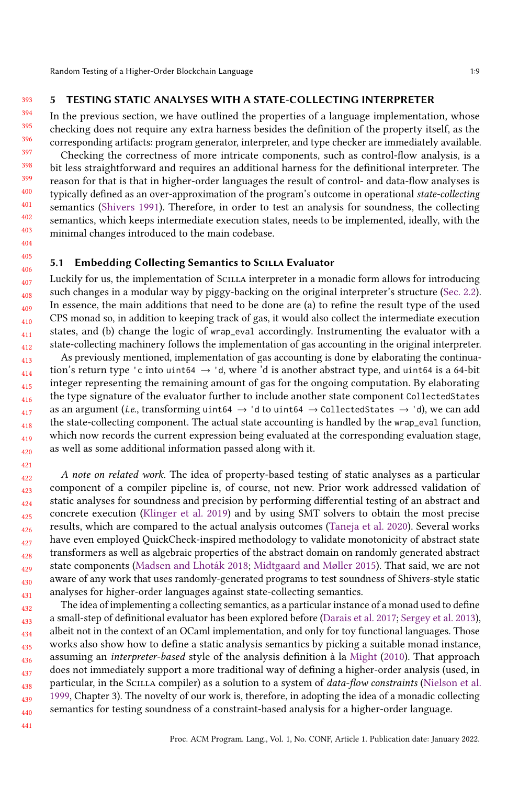393

# <span id="page-8-0"></span>5 TESTING STATIC ANALYSES WITH A STATE-COLLECTING INTERPRETER

In the previous section, we have outlined the properties of a language implementation, whose checking does not require any extra harness besides the definition of the property itself, as the corresponding artifacts: program generator, interpreter, and type checker are immediately available.

Checking the correctness of more intricate components, such as control-flow analysis, is a bit less straightforward and requires an additional harness for the definitional interpreter. The reason for that is that in higher-order languages the result of control- and data-flow analyses is typically defined as an over-approximation of the program's outcome in operational state-collecting semantics [\(Shivers](#page-13-4) [1991\)](#page-13-4). Therefore, in order to test an analysis for soundness, the collecting semantics, which keeps intermediate execution states, needs to be implemented, ideally, with the minimal changes introduced to the main codebase.

### 5.1 Embedding Collecting Semantics to SCILLA Evaluator

Luckily for us, the implementation of Scilla interpreter in a monadic form allows for introducing such changes in a modular way by piggy-backing on the original interpreter's structure [\(Sec. 2.2\)](#page-4-3). In essence, the main additions that need to be done are (a) to refine the result type of the used CPS monad so, in addition to keeping track of gas, it would also collect the intermediate execution states, and (b) change the logic of wrap\_eval accordingly. Instrumenting the evaluator with a state-collecting machinery follows the implementation of gas accounting in the original interpreter.

413 414 415 416 417 418 419 420 As previously mentioned, implementation of gas accounting is done by elaborating the continuation's return type 'c into uint64  $\rightarrow$  'd, where 'd is another abstract type, and uint64 is a 64-bit integer representing the remaining amount of gas for the ongoing computation. By elaborating the type signature of the evaluator further to include another state component CollectedStates as an argument (i.e., transforming uint64  $\rightarrow$  'd to uint64  $\rightarrow$  CollectedStates  $\rightarrow$  'd), we can add the state-collecting component. The actual state accounting is handled by the wrap\_eval function, which now records the current expression being evaluated at the corresponding evaluation stage, as well as some additional information passed along with it.

422 423 424 425 426 427 428 429 430 431 A note on related work. The idea of property-based testing of static analyses as a particular component of a compiler pipeline is, of course, not new. Prior work addressed validation of static analyses for soundness and precision by performing differential testing of an abstract and concrete execution [\(Klinger et al.](#page-12-22) [2019\)](#page-12-22) and by using SMT solvers to obtain the most precise results, which are compared to the actual analysis outcomes [\(Taneja et al.](#page-13-5) [2020\)](#page-13-5). Several works have even employed QuickCheck-inspired methodology to validate monotonicity of abstract state transformers as well as algebraic properties of the abstract domain on randomly generated abstract state components [\(Madsen and Lhoták](#page-12-23) [2018;](#page-12-23) [Midtgaard and Møller](#page-12-24) [2015\)](#page-12-24). That said, we are not aware of any work that uses randomly-generated programs to test soundness of Shivers-style static analyses for higher-order languages against state-collecting semantics.

432 433 434 435 436 437 438 439 440 The idea of implementing a collecting semantics, as a particular instance of a monad used to define a small-step of definitional evaluator has been explored before [\(Darais et al.](#page-12-25) [2017;](#page-12-25) [Sergey et al.](#page-13-6) [2013\)](#page-13-6), albeit not in the context of an OCaml implementation, and only for toy functional languages. Those works also show how to define a static analysis semantics by picking a suitable monad instance, assuming an interpreter-based style of the analysis definition à la [Might](#page-12-26) [\(2010\)](#page-12-26). That approach does not immediately support a more traditional way of defining a higher-order analysis (used, in particular, in the SCILLA compiler) as a solution to a system of *data-flow constraints* [\(Nielson et al.](#page-12-27) [1999,](#page-12-27) Chapter 3). The novelty of our work is, therefore, in adopting the idea of a monadic collecting semantics for testing soundness of a constraint-based analysis for a higher-order language.

441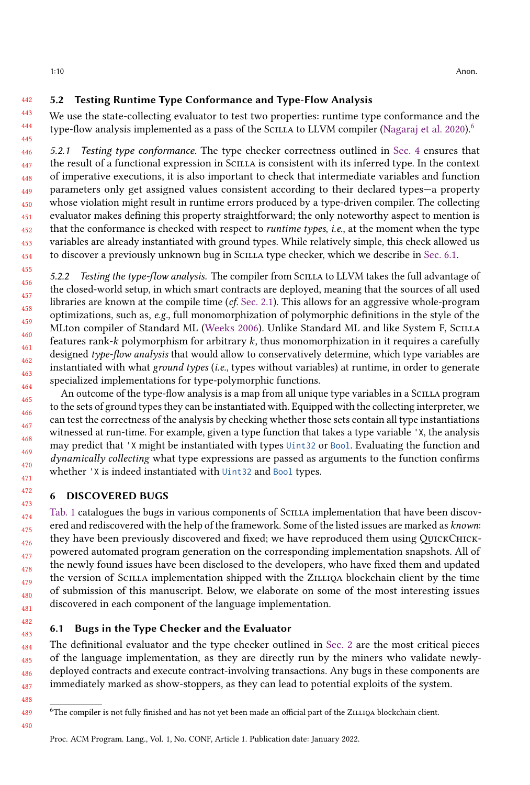#### 442 5.2 Testing Runtime Type Conformance and Type-Flow Analysis

443 444 445 We use the state-collecting evaluator to test two properties: runtime type conformance and the type-flow analysis implemented as a pass of the SCILLA to LLVM compiler [\(Nagaraj et al.](#page-12-28) [2020\)](#page-12-28).<sup>[6](#page-9-2)</sup>

<span id="page-9-3"></span>446 447 448 449 450 451 452 453 454 5.2.1 Testing type conformance. The type checker correctness outlined in [Sec. 4](#page-7-0) ensures that the result of a functional expression in Scilla is consistent with its inferred type. In the context of imperative executions, it is also important to check that intermediate variables and function parameters only get assigned values consistent according to their declared types—a property whose violation might result in runtime errors produced by a type-driven compiler. The collecting evaluator makes defining this property straightforward; the only noteworthy aspect to mention is that the conformance is checked with respect to *runtime types, i.e.*, at the moment when the type variables are already instantiated with ground types. While relatively simple, this check allowed us to discover a previously unknown bug in Scilla type checker, which we describe in [Sec. 6.1.](#page-9-1)

<span id="page-9-4"></span>5.2.2 Testing the type-flow analysis. The compiler from Scilla to LLVM takes the full advantage of the closed-world setup, in which smart contracts are deployed, meaning that the sources of all used libraries are known at the compile time  $(cf. Sec. 2.1)$  $(cf. Sec. 2.1)$ . This allows for an aggressive whole-program optimizations, such as, e.g., full monomorphization of polymorphic definitions in the style of the MLton compiler of Standard ML [\(Weeks](#page-13-7) [2006\)](#page-13-7). Unlike Standard ML and like System F, Scilla features rank- $k$  polymorphism for arbitrary  $k$ , thus monomorphization in it requires a carefully designed type-flow analysis that would allow to conservatively determine, which type variables are instantiated with what *ground types* (*i.e.*, types without variables) at runtime, in order to generate specialized implementations for type-polymorphic functions.

An outcome of the type-flow analysis is a map from all unique type variables in a Scilla program to the sets of ground types they can be instantiated with. Equipped with the collecting interpreter, we can test the correctness of the analysis by checking whether those sets contain all type instantiations witnessed at run-time. For example, given a type function that takes a type variable 'X, the analysis may predict that 'X might be instantiated with types Uint32 or Bool. Evaluating the function and dynamically collecting what type expressions are passed as arguments to the function confirms whether 'X is indeed instantiated with Uint32 and Bool types.

# <span id="page-9-0"></span>6 DISCOVERED BUGS

[Tab. 1](#page-10-0) catalogues the bugs in various components of Scilla implementation that have been discovered and rediscovered with the help of the framework. Some of the listed issues are marked as known: they have been previously discovered and fixed; we have reproduced them using QuickChickpowered automated program generation on the corresponding implementation snapshots. All of the newly found issues have been disclosed to the developers, who have fixed them and updated the version of Scilla implementation shipped with the Zilliqa blockchain client by the time of submission of this manuscript. Below, we elaborate on some of the most interesting issues discovered in each component of the language implementation.

# <span id="page-9-1"></span>6.1 Bugs in the Type Checker and the Evaluator

484 485 486 487 The definitional evaluator and the type checker outlined in [Sec. 2](#page-2-0) are the most critical pieces of the language implementation, as they are directly run by the miners who validate newlydeployed contracts and execute contract-involving transactions. Any bugs in these components are immediately marked as show-stoppers, as they can lead to potential exploits of the system.

490

<sup>488</sup> 489

<span id="page-9-2"></span> $6$ The compiler is not fully finished and has not yet been made an official part of the ZILLIQA blockchain client.

Proc. ACM Program. Lang., Vol. 1, No. CONF, Article 1. Publication date: January 2022.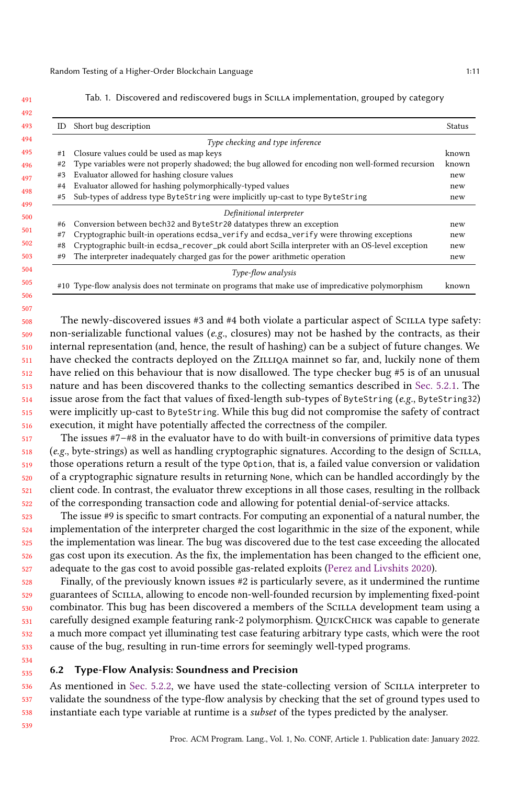# 492 49

<span id="page-10-0"></span>491

506 507

#### Tab. 1. Discovered and rediscovered bugs in SCILLA implementation, grouped by category

| ID | Short bug description                                                                             | Status |
|----|---------------------------------------------------------------------------------------------------|--------|
|    | Type checking and type inference                                                                  |        |
| #1 | Closure values could be used as map keys                                                          | known  |
| #2 | Type variables were not properly shadowed; the bug allowed for encoding non well-formed recursion | known  |
| #3 | Evaluator allowed for hashing closure values                                                      | new    |
| #4 | Evaluator allowed for hashing polymorphically-typed values                                        | new    |
| #5 | Sub-types of address type ByteString were implicitly up-cast to type ByteString                   | new    |
|    | Definitional interpreter                                                                          |        |
| #6 | Conversion between bech32 and ByteStr20 datatypes threw an exception                              | new    |
| #7 | Cryptographic built-in operations ecdsa_verify and ecdsa_verify were throwing exceptions          | new    |
| #8 | Cryptographic built-in ecdsa_recover_pk could abort Scilla interpreter with an OS-level exception | new    |
| #9 | The interpreter inadequately charged gas for the power arithmetic operation                       | new    |
|    | Type-flow analysis                                                                                |        |
|    | #10 Type-flow analysis does not terminate on programs that make use of impredicative polymorphism | known  |

508 509 510 511 512 513 514 515 516 The newly-discovered issues #3 and #4 both violate a particular aspect of SCILLA type safety: non-serializable functional values ( $e.g.,$  closures) may not be hashed by the contracts, as their internal representation (and, hence, the result of hashing) can be a subject of future changes. We have checked the contracts deployed on the ZILLIQA mainnet so far, and, luckily none of them have relied on this behaviour that is now disallowed. The type checker bug #5 is of an unusual nature and has been discovered thanks to the collecting semantics described in [Sec. 5.2.1.](#page-9-3) The issue arose from the fact that values of fixed-length sub-types of ByteString ( $e.g.,$  ByteString32) were implicitly up-cast to ByteString. While this bug did not compromise the safety of contract execution, it might have potentially affected the correctness of the compiler.

517 518 519 520 521 522 The issues #7–#8 in the evaluator have to do with built-in conversions of primitive data types (e.g., byte-strings) as well as handling cryptographic signatures. According to the design of Scilla, those operations return a result of the type Option, that is, a failed value conversion or validation of a cryptographic signature results in returning None, which can be handled accordingly by the client code. In contrast, the evaluator threw exceptions in all those cases, resulting in the rollback of the corresponding transaction code and allowing for potential denial-of-service attacks.

523 524 525 526 527 The issue #9 is specific to smart contracts. For computing an exponential of a natural number, the implementation of the interpreter charged the cost logarithmic in the size of the exponent, while the implementation was linear. The bug was discovered due to the test case exceeding the allocated gas cost upon its execution. As the fix, the implementation has been changed to the efficient one, adequate to the gas cost to avoid possible gas-related exploits [\(Perez and Livshits](#page-12-29) [2020\)](#page-12-29).

528 529 530 531 532 533 Finally, of the previously known issues #2 is particularly severe, as it undermined the runtime guarantees of Scilla, allowing to encode non-well-founded recursion by implementing fixed-point combinator. This bug has been discovered a members of the Scilla development team using a carefully designed example featuring rank-2 polymorphism. QUICKCHICK was capable to generate a much more compact yet illuminating test case featuring arbitrary type casts, which were the root cause of the bug, resulting in run-time errors for seemingly well-typed programs.

#### 535 6.2 Type-Flow Analysis: Soundness and Precision

536 537 538 As mentioned in [Sec. 5.2.2,](#page-9-4) we have used the state-collecting version of SCILLA interpreter to validate the soundness of the type-flow analysis by checking that the set of ground types used to instantiate each type variable at runtime is a subset of the types predicted by the analyser.

539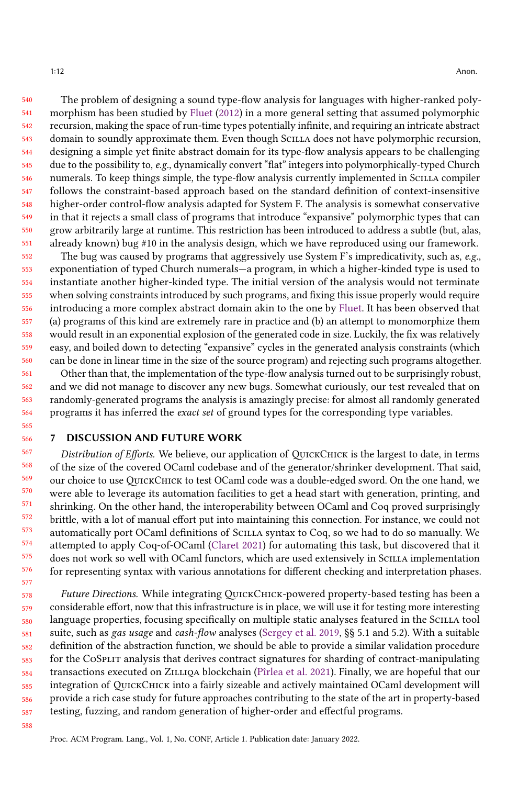540 541 542 543 544 545 546 547 548 549 550 551 The problem of designing a sound type-flow analysis for languages with higher-ranked polymorphism has been studied by [Fluet](#page-12-30) [\(2012\)](#page-12-30) in a more general setting that assumed polymorphic recursion, making the space of run-time types potentially infinite, and requiring an intricate abstract domain to soundly approximate them. Even though Scilla does not have polymorphic recursion, designing a simple yet finite abstract domain for its type-flow analysis appears to be challenging due to the possibility to, e.g., dynamically convert "flat" integers into polymorphically-typed Church numerals. To keep things simple, the type-flow analysis currently implemented in Scilla compiler follows the constraint-based approach based on the standard definition of context-insensitive higher-order control-flow analysis adapted for System F. The analysis is somewhat conservative in that it rejects a small class of programs that introduce "expansive" polymorphic types that can grow arbitrarily large at runtime. This restriction has been introduced to address a subtle (but, alas, already known) bug #10 in the analysis design, which we have reproduced using our framework.

552 553 554 555 556 557 558 559 560 The bug was caused by programs that aggressively use System F's impredicativity, such as,  $e.g.,$ exponentiation of typed Church numerals—a program, in which a higher-kinded type is used to instantiate another higher-kinded type. The initial version of the analysis would not terminate when solving constraints introduced by such programs, and fixing this issue properly would require introducing a more complex abstract domain akin to the one by [Fluet.](#page-12-30) It has been observed that (a) programs of this kind are extremely rare in practice and (b) an attempt to monomorphize them would result in an exponential explosion of the generated code in size. Luckily, the fix was relatively easy, and boiled down to detecting "expansive" cycles in the generated analysis constraints (which can be done in linear time in the size of the source program) and rejecting such programs altogether.

561 562 563 564 Other than that, the implementation of the type-flow analysis turned out to be surprisingly robust, and we did not manage to discover any new bugs. Somewhat curiously, our test revealed that on randomly-generated programs the analysis is amazingly precise: for almost all randomly generated programs it has inferred the exact set of ground types for the corresponding type variables.

# 7 DISCUSSION AND FUTURE WORK

567 568 569 570 571 572 573 574 575 576 Distribution of Efforts. We believe, our application of QUICKCHICK is the largest to date, in terms of the size of the covered OCaml codebase and of the generator/shrinker development. That said, our choice to use QuickChick to test OCaml code was a double-edged sword. On the one hand, we were able to leverage its automation facilities to get a head start with generation, printing, and shrinking. On the other hand, the interoperability between OCaml and Coq proved surprisingly brittle, with a lot of manual effort put into maintaining this connection. For instance, we could not automatically port OCaml definitions of Scilla syntax to Coq, so we had to do so manually. We attempted to apply Coq-of-OCaml [\(Claret](#page-12-31) [2021\)](#page-12-31) for automating this task, but discovered that it does not work so well with OCaml functors, which are used extensively in SCILLA implementation for representing syntax with various annotations for different checking and interpretation phases.

578 579 580 581 582 583 584 585 586 587 Future Directions. While integrating QuickChick-powered property-based testing has been a considerable effort, now that this infrastructure is in place, we will use it for testing more interesting language properties, focusing specifically on multiple static analyses featured in the SCILLA tool suite, such as gas usage and cash-flow analyses [\(Sergey et al.](#page-13-0) [2019,](#page-13-0) §§ 5.1 and 5.2). With a suitable definition of the abstraction function, we should be able to provide a similar validation procedure for the CoSplit analysis that derives contract signatures for sharding of contract-manipulating transactions executed on Zilliqa blockchain [\(Pîrlea et al.](#page-12-32) [2021\)](#page-12-32). Finally, we are hopeful that our integration of QuickChick into a fairly sizeable and actively maintained OCaml development will provide a rich case study for future approaches contributing to the state of the art in property-based testing, fuzzing, and random generation of higher-order and effectful programs.

588

577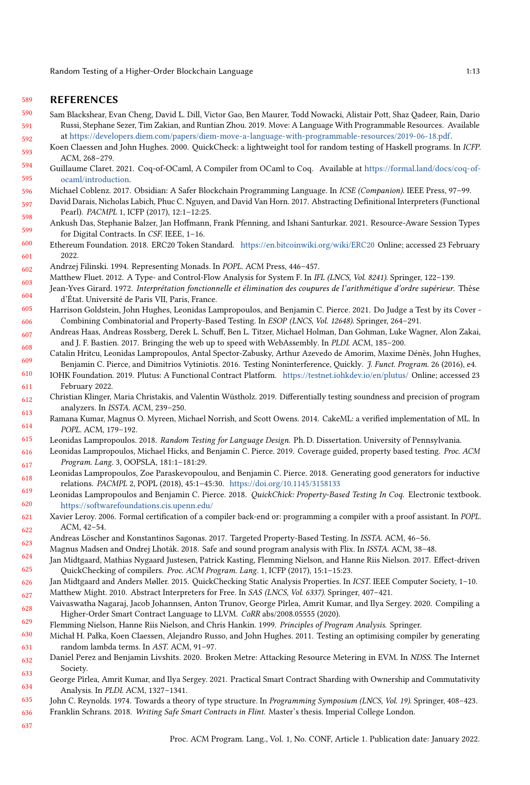#### 589 REFERENCES

- <span id="page-12-0"></span>590 591 592 Sam Blackshear, Evan Cheng, David L. Dill, Victor Gao, Ben Maurer, Todd Nowacki, Alistair Pott, Shaz Qadeer, Rain, Dario Russi, Stephane Sezer, Tim Zakian, and Runtian Zhou. 2019. Move: A Language With Programmable Resources. Available at [https://developers.diem.com/papers/diem-move-a-language-with-programmable-resources/2019-06-18.pdf.](https://developers.diem.com/papers/diem-move-a-language-with-programmable-resources/2019-06-18.pdf)
- <span id="page-12-8"></span>593 Koen Claessen and John Hughes. 2000. QuickCheck: a lightweight tool for random testing of Haskell programs. In ICFP. ACM, 268–279.
- <span id="page-12-31"></span>594 595 Guillaume Claret. 2021. Coq-of-OCaml, A Compiler from OCaml to Coq. Available at [https://formal.land/docs/coq-of](https://formal.land/docs/coq-of-ocaml/introduction)[ocaml/introduction.](https://formal.land/docs/coq-of-ocaml/introduction)
- <span id="page-12-1"></span>596 Michael Coblenz. 2017. Obsidian: A Safer Blockchain Programming Language. In ICSE (Companion). IEEE Press, 97–99.
- <span id="page-12-25"></span>597 598 David Darais, Nicholas Labich, Phuc C. Nguyen, and David Van Horn. 2017. Abstracting Definitional Interpreters (Functional Pearl). PACMPL 1, ICFP (2017), 12:1–12:25.
- <span id="page-12-2"></span>599 Ankush Das, Stephanie Balzer, Jan Hoffmann, Frank Pfenning, and Ishani Santurkar. 2021. Resource-Aware Session Types for Digital Contracts. In CSF. IEEE, 1–16.
- <span id="page-12-16"></span>600 601 Ethereum Foundation. 2018. ERC20 Token Standard. <https://en.bitcoinwiki.org/wiki/ERC20> Online; accessed 23 February 2022.
- <span id="page-12-19"></span>602 Andrzej Filinski. 1994. Representing Monads. In POPL. ACM Press, 446–457.
- <span id="page-12-30"></span>603 Matthew Fluet. 2012. A Type- and Control-Flow Analysis for System F. In IFL (LNCS, Vol. 8241). Springer, 122–139.
- <span id="page-12-17"></span>604 Jean-Yves Girard. 1972. Interprétation fonctionnelle et élimination des coupures de l'arithmétique d'ordre supérieur. Thèse d'État. Université de Paris VII, Paris, France.
- <span id="page-12-15"></span>605 606 Harrison Goldstein, John Hughes, Leonidas Lampropoulos, and Benjamin C. Pierce. 2021. Do Judge a Test by its Cover - Combining Combinatorial and Property-Based Testing. In ESOP (LNCS, Vol. 12648). Springer, 264–291.
- <span id="page-12-5"></span>607 608 Andreas Haas, Andreas Rossberg, Derek L. Schuff, Ben L. Titzer, Michael Holman, Dan Gohman, Luke Wagner, Alon Zakai, and J. F. Bastien. 2017. Bringing the web up to speed with WebAssembly. In PLDI. ACM, 185–200.
- <span id="page-12-20"></span>609 Catalin Hritcu, Leonidas Lampropoulos, Antal Spector-Zabusky, Arthur Azevedo de Amorim, Maxime Dénès, John Hughes, Benjamin C. Pierce, and Dimitrios Vytiniotis. 2016. Testing Noninterference, Quickly. J. Funct. Program. 26 (2016), e4.
- <span id="page-12-3"></span>610 611 IOHK Foundation. 2019. Plutus: A Functional Contract Platform. <https://testnet.iohkdev.io/en/plutus/> Online; accessed 23 February 2022.
- <span id="page-12-22"></span>612 613 Christian Klinger, Maria Christakis, and Valentin Wüstholz. 2019. Differentially testing soundness and precision of program analyzers. In ISSTA. ACM, 239–250.
- <span id="page-12-7"></span>614 Ramana Kumar, Magnus O. Myreen, Michael Norrish, and Scott Owens. 2014. CakeML: a verified implementation of ML. In POPL. ACM, 179–192.
- <span id="page-12-12"></span>615 Leonidas Lampropoulos. 2018. Random Testing for Language Design. Ph. D. Dissertation. University of Pennsylvania.
- <span id="page-12-13"></span>616 617 Leonidas Lampropoulos, Michael Hicks, and Benjamin C. Pierce. 2019. Coverage guided, property based testing. Proc. ACM Program. Lang. 3, OOPSLA, 181:1–181:29.
- <span id="page-12-21"></span>618 619 Leonidas Lampropoulos, Zoe Paraskevopoulou, and Benjamin C. Pierce. 2018. Generating good generators for inductive relations. PACMPL 2, POPL (2018), 45:1–45:30. <https://doi.org/10.1145/3158133>
- <span id="page-12-11"></span>620 Leonidas Lampropoulos and Benjamin C. Pierce. 2018. QuickChick: Property-Based Testing In Coq. Electronic textbook. <https://softwarefoundations.cis.upenn.edu/>
- <span id="page-12-6"></span>621 622 Xavier Leroy. 2006. Formal certification of a compiler back-end or: programming a compiler with a proof assistant. In POPL. ACM, 42–54.
- <span id="page-12-14"></span>623 Andreas Löscher and Konstantinos Sagonas. 2017. Targeted Property-Based Testing. In ISSTA. ACM, 46–56.
- <span id="page-12-23"></span>624 Magnus Madsen and Ondrej Lhoták. 2018. Safe and sound program analysis with Flix. In ISSTA. ACM, 38–48.
- <span id="page-12-9"></span>625 Jan Midtgaard, Mathias Nygaard Justesen, Patrick Kasting, Flemming Nielson, and Hanne Riis Nielson. 2017. Effect-driven QuickChecking of compilers. Proc. ACM Program. Lang. 1, ICFP (2017), 15:1–15:23.
- <span id="page-12-26"></span><span id="page-12-24"></span>626 627 Jan Midtgaard and Anders Møller. 2015. QuickChecking Static Analysis Properties. In ICST. IEEE Computer Society, 1–10. Matthew Might. 2010. Abstract Interpreters for Free. In SAS (LNCS, Vol. 6337). Springer, 407–421.
- <span id="page-12-28"></span>628 629 Vaivaswatha Nagaraj, Jacob Johannsen, Anton Trunov, George Pîrlea, Amrit Kumar, and Ilya Sergey. 2020. Compiling a Higher-Order Smart Contract Language to LLVM. CoRR abs/2008.05555 (2020).
- <span id="page-12-27"></span>Flemming Nielson, Hanne Riis Nielson, and Chris Hankin. 1999. Principles of Program Analysis. Springer.
- <span id="page-12-10"></span>630 631 Michał H. Pałka, Koen Claessen, Alejandro Russo, and John Hughes. 2011. Testing an optimising compiler by generating random lambda terms. In AST. ACM, 91–97.
- <span id="page-12-29"></span>632 633 Daniel Perez and Benjamin Livshits. 2020. Broken Metre: Attacking Resource Metering in EVM. In NDSS. The Internet Society.
- <span id="page-12-32"></span>634 George Pîrlea, Amrit Kumar, and Ilya Sergey. 2021. Practical Smart Contract Sharding with Ownership and Commutativity Analysis. In PLDI. ACM, 1327–1341.
- <span id="page-12-18"></span><span id="page-12-4"></span>635 636 John C. Reynolds. 1974. Towards a theory of type structure. In Programming Symposium (LNCS, Vol. 19). Springer, 408–423. Franklin Schrans. 2018. Writing Safe Smart Contracts in Flint. Master's thesis. Imperial College London.
- 637